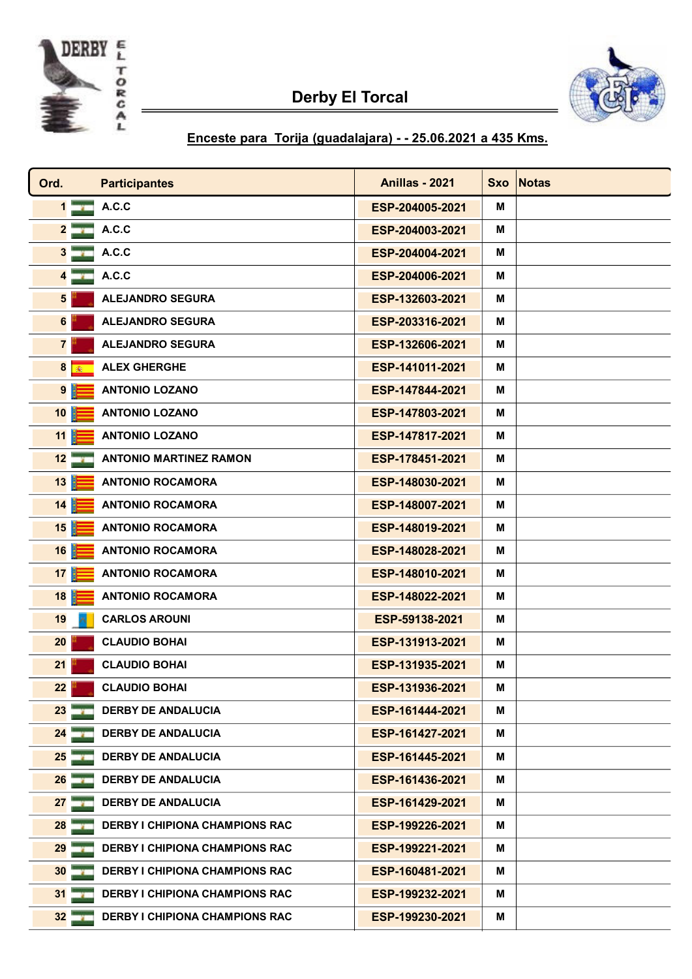



## Enceste para Torija ( guadalajara ) - - 25.06.2021 a 435 Kms.

| Ord.            | <b>Participantes</b>                  | <b>Anillas - 2021</b> | <b>Sxo</b> | <b>Notas</b> |
|-----------------|---------------------------------------|-----------------------|------------|--------------|
| $1 - m$         | A.C.C                                 | ESP-204005-2021       | м          |              |
| 2 <sup>1</sup>  | A.C.C                                 | ESP-204003-2021       | м          |              |
| $3 -$           | A.C.C                                 | ESP-204004-2021       | м          |              |
| 4 <sup>1</sup>  | A.C.C                                 | ESP-204006-2021       | м          |              |
| $5\phantom{a}$  | <b>ALEJANDRO SEGURA</b>               | ESP-132603-2021       | М          |              |
| 6               | <b>ALEJANDRO SEGURA</b>               | ESP-203316-2021       | м          |              |
| 7 <sup>1</sup>  | <b>ALEJANDRO SEGURA</b>               | ESP-132606-2021       | м          |              |
| 8 赛             | <b>ALEX GHERGHE</b>                   | ESP-141011-2021       | М          |              |
| 9 <sup>1</sup>  | <b>ANTONIO LOZANO</b>                 | ESP-147844-2021       | м          |              |
| 10              | <b>ANTONIO LOZANO</b>                 | ESP-147803-2021       | М          |              |
| 11              | <b>ANTONIO LOZANO</b>                 | ESP-147817-2021       | м          |              |
| $12 - i$        | <b>ANTONIO MARTINEZ RAMON</b>         | ESP-178451-2021       | м          |              |
| 13              | <b>ANTONIO ROCAMORA</b>               | ESP-148030-2021       | м          |              |
| 14              | <b>ANTONIO ROCAMORA</b>               | ESP-148007-2021       | м          |              |
| 15              | <b>ANTONIO ROCAMORA</b>               | ESP-148019-2021       | M          |              |
| 16              | <b>ANTONIO ROCAMORA</b>               | ESP-148028-2021       | м          |              |
| 17              | <b>ANTONIO ROCAMORA</b>               | ESP-148010-2021       | м          |              |
| 18              | <b>ANTONIO ROCAMORA</b>               | ESP-148022-2021       | M          |              |
| 19              | <b>CARLOS AROUNI</b>                  | ESP-59138-2021        | M          |              |
| 20              | <b>CLAUDIO BOHAI</b>                  | ESP-131913-2021       | м          |              |
| 21              | <b>CLAUDIO BOHAI</b>                  | ESP-131935-2021       | м          |              |
| 22              | <b>CLAUDIO BOHAI</b>                  | ESP-131936-2021       | M          |              |
| 23              | <b>DERBY DE ANDALUCIA</b>             | ESP-161444-2021       | М          |              |
| 24              | <b>DERBY DE ANDALUCIA</b>             | ESP-161427-2021       | М          |              |
| 25              | <b>DERBY DE ANDALUCIA</b>             | ESP-161445-2021       | М          |              |
| 26              | <b>DERBY DE ANDALUCIA</b>             | ESP-161436-2021       | М          |              |
| 27 <sub>2</sub> | <b>DERBY DE ANDALUCIA</b>             | ESP-161429-2021       | м          |              |
| 28              | <b>DERBY I CHIPIONA CHAMPIONS RAC</b> | ESP-199226-2021       | М          |              |
| 29              | <b>DERBY I CHIPIONA CHAMPIONS RAC</b> | ESP-199221-2021       | М          |              |
| 30 <sup>°</sup> | <b>DERBY I CHIPIONA CHAMPIONS RAC</b> | ESP-160481-2021       | М          |              |
| $31 - 4$        | <b>DERBY I CHIPIONA CHAMPIONS RAC</b> | ESP-199232-2021       | М          |              |
| 32              | <b>DERBY I CHIPIONA CHAMPIONS RAC</b> | ESP-199230-2021       | М          |              |
|                 |                                       |                       |            |              |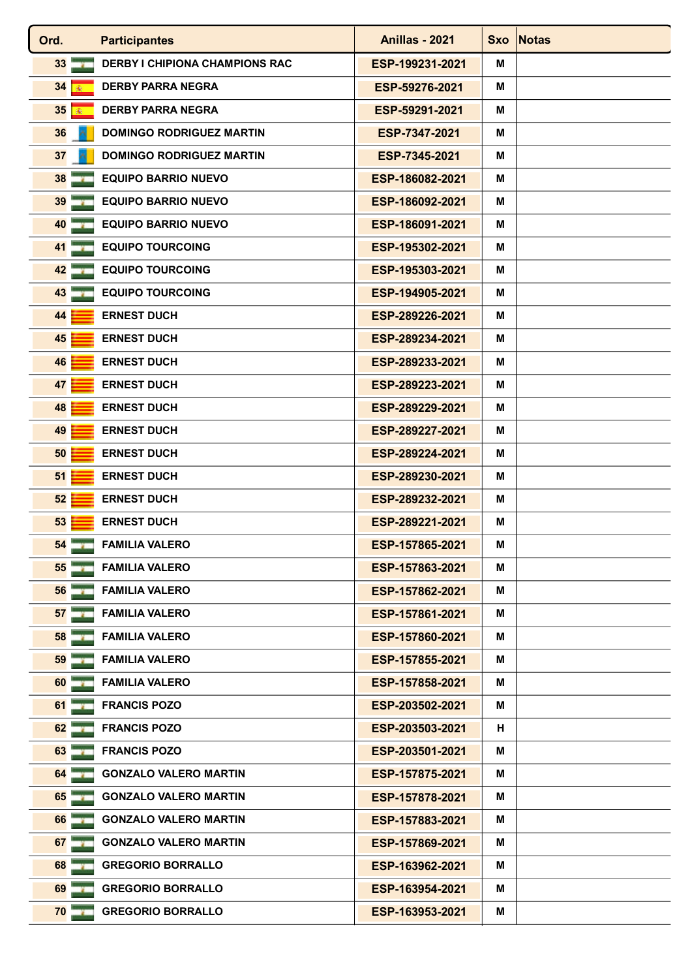| Ord.<br><b>Participantes</b>                           | <b>Anillas - 2021</b> |   | Sxo Notas |
|--------------------------------------------------------|-----------------------|---|-----------|
| <b>DERBY I CHIPIONA CHAMPIONS RAC</b><br>33 <b>ADV</b> | ESP-199231-2021       | м |           |
| <b>DERBY PARRA NEGRA</b><br>34<br>瘢                    | ESP-59276-2021        | м |           |
| <b>DERBY PARRA NEGRA</b><br>35 藤                       | ESP-59291-2021        | м |           |
| 36<br>DOMINGO RODRIGUEZ MARTIN                         | ESP-7347-2021         | M |           |
| <b>DOMINGO RODRIGUEZ MARTIN</b><br>37                  | ESP-7345-2021         | м |           |
| <b>EQUIPO BARRIO NUEVO</b><br>38                       | ESP-186082-2021       | м |           |
| 39<br><b>EQUIPO BARRIO NUEVO</b>                       | ESP-186092-2021       | м |           |
| <b>EQUIPO BARRIO NUEVO</b><br>40                       | ESP-186091-2021       | м |           |
| $41 -$<br><b>EQUIPO TOURCOING</b>                      | ESP-195302-2021       | м |           |
| <b>EQUIPO TOURCOING</b><br>42                          | ESP-195303-2021       | м |           |
| <b>EQUIPO TOURCOING</b><br><b>43 THE</b>               | ESP-194905-2021       | м |           |
| 44<br><b>ERNEST DUCH</b>                               | ESP-289226-2021       | м |           |
| 45<br><b>ERNEST DUCH</b>                               | ESP-289234-2021       | м |           |
| <b>ERNEST DUCH</b><br>46                               | ESP-289233-2021       | м |           |
| 47<br><b>ERNEST DUCH</b>                               | ESP-289223-2021       | М |           |
| <b>ERNEST DUCH</b><br>48                               | ESP-289229-2021       | M |           |
| <b>ERNEST DUCH</b><br>49                               | ESP-289227-2021       | м |           |
| 50<br><b>ERNEST DUCH</b>                               | ESP-289224-2021       | м |           |
| 51<br><b>ERNEST DUCH</b>                               | ESP-289230-2021       | М |           |
| 52<br><b>ERNEST DUCH</b>                               | ESP-289232-2021       | м |           |
| 53<br><b>ERNEST DUCH</b>                               | ESP-289221-2021       | м |           |
| 54<br><b>FAMILIA VALERO</b>                            | ESP-157865-2021       | M |           |
| 55<br><b>FAMILIA VALERO</b>                            | ESP-157863-2021       | м |           |
| <b>FAMILIA VALERO</b><br>56                            | ESP-157862-2021       | м |           |
| <b>FAMILIA VALERO</b><br>57 <sub>1</sub>               | ESP-157861-2021       | м |           |
| <b>FAMILIA VALERO</b><br>58                            | ESP-157860-2021       | М |           |
| <b>FAMILIA VALERO</b><br>59                            | ESP-157855-2021       | м |           |
| <b>FAMILIA VALERO</b><br>60                            | ESP-157858-2021       | М |           |
| <b>FRANCIS POZO</b><br>61                              | ESP-203502-2021       | м |           |
| 62<br><b>FRANCIS POZO</b>                              | ESP-203503-2021       | н |           |
| <b>FRANCIS POZO</b><br>63                              | ESP-203501-2021       | M |           |
| <b>GONZALO VALERO MARTIN</b><br>64                     | ESP-157875-2021       | м |           |
| 65<br><b>GONZALO VALERO MARTIN</b>                     | ESP-157878-2021       | М |           |
| <b>GONZALO VALERO MARTIN</b><br>66                     | ESP-157883-2021       | М |           |
| 67<br><b>GONZALO VALERO MARTIN</b>                     | ESP-157869-2021       | м |           |
| <b>GREGORIO BORRALLO</b><br>68                         | ESP-163962-2021       | м |           |
| <b>GREGORIO BORRALLO</b><br>69                         | ESP-163954-2021       | М |           |
| <b>GREGORIO BORRALLO</b><br>70                         | ESP-163953-2021       | м |           |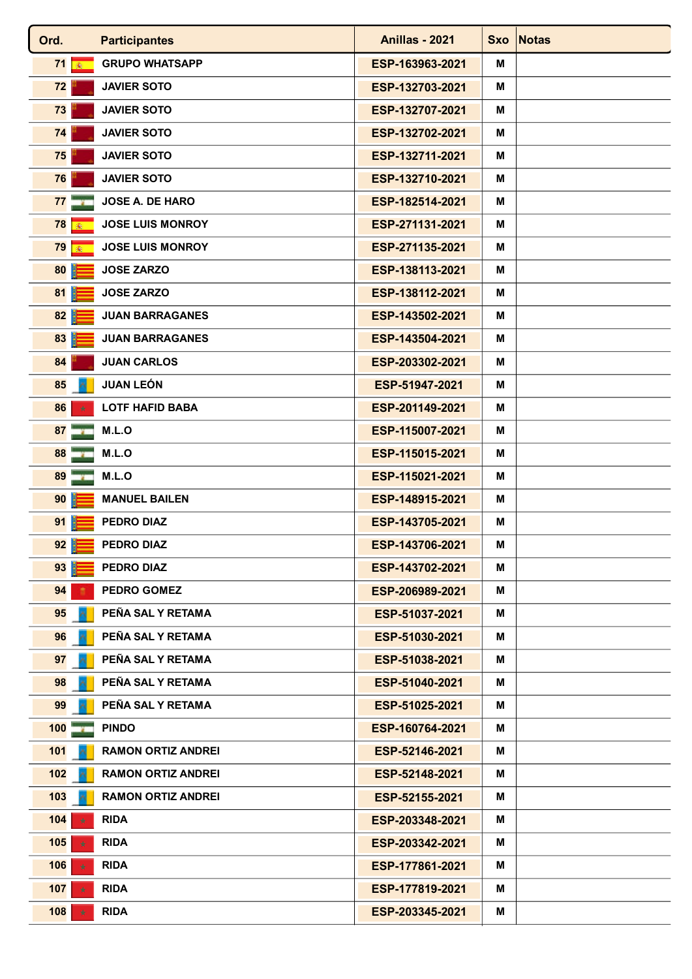| Ord.            | <b>Participantes</b>      | <b>Anillas - 2021</b> |   | Sxo Notas |
|-----------------|---------------------------|-----------------------|---|-----------|
| 71 率            | <b>GRUPO WHATSAPP</b>     | ESP-163963-2021       | М |           |
| 72              | <b>JAVIER SOTO</b>        | ESP-132703-2021       | м |           |
| 73              | <b>JAVIER SOTO</b>        | ESP-132707-2021       | м |           |
| 74              | <b>JAVIER SOTO</b>        | ESP-132702-2021       | м |           |
| 75              | <b>JAVIER SOTO</b>        | ESP-132711-2021       | м |           |
| 76              | <b>JAVIER SOTO</b>        | ESP-132710-2021       | м |           |
| 77 <sup>1</sup> | <b>JOSE A. DE HARO</b>    | ESP-182514-2021       | м |           |
| 78 <br>涵        | <b>JOSE LUIS MONROY</b>   | ESP-271131-2021       | м |           |
| 79 藤            | <b>JOSE LUIS MONROY</b>   | ESP-271135-2021       | м |           |
| 80              | <b>JOSE ZARZO</b>         | ESP-138113-2021       | м |           |
| 81              | <b>JOSE ZARZO</b>         | ESP-138112-2021       | М |           |
| 82              | <b>JUAN BARRAGANES</b>    | ESP-143502-2021       | м |           |
| 83              | <b>JUAN BARRAGANES</b>    | ESP-143504-2021       | м |           |
| 84              | <b>JUAN CARLOS</b>        | ESP-203302-2021       | м |           |
| 85              | <b>JUAN LEÓN</b>          | ESP-51947-2021        | м |           |
| 86              | <b>LOTF HAFID BABA</b>    | ESP-201149-2021       | м |           |
| 87 <sup>1</sup> | M.L.O                     | ESP-115007-2021       | м |           |
| 88              | M.L.O                     | ESP-115015-2021       | м |           |
| 89              | M.L.O                     | ESP-115021-2021       | м |           |
| 90              | <b>MANUEL BAILEN</b>      | ESP-148915-2021       | М |           |
| 91              | <b>PEDRO DIAZ</b>         | ESP-143705-2021       | м |           |
| 92              | PEDRO DIAZ                | ESP-143706-2021       | м |           |
| 93              | <b>PEDRO DIAZ</b>         | ESP-143702-2021       | М |           |
| 94              | <b>PEDRO GOMEZ</b>        | ESP-206989-2021       | м |           |
| 95              | PEÑA SAL Y RETAMA         | ESP-51037-2021        | м |           |
| 96              | PEÑA SAL Y RETAMA         | ESP-51030-2021        | м |           |
| 97              | PEÑA SAL Y RETAMA         | ESP-51038-2021        | M |           |
| 98              | PEÑA SAL Y RETAMA         | ESP-51040-2021        | М |           |
| 99              | PEÑA SAL Y RETAMA         | ESP-51025-2021        | м |           |
| 100             | <b>PINDO</b>              | ESP-160764-2021       | М |           |
| 101             | <b>RAMON ORTIZ ANDREI</b> | ESP-52146-2021        | м |           |
| 102             | <b>RAMON ORTIZ ANDREI</b> | ESP-52148-2021        | м |           |
| 103             | <b>RAMON ORTIZ ANDREI</b> | ESP-52155-2021        | м |           |
| 104             | <b>RIDA</b>               | ESP-203348-2021       | М |           |
| 105             | <b>RIDA</b>               | ESP-203342-2021       | м |           |
| 106             | <b>RIDA</b>               | ESP-177861-2021       | М |           |
| 107             | <b>RIDA</b>               | ESP-177819-2021       | М |           |
| 108             | <b>RIDA</b>               | ESP-203345-2021       | М |           |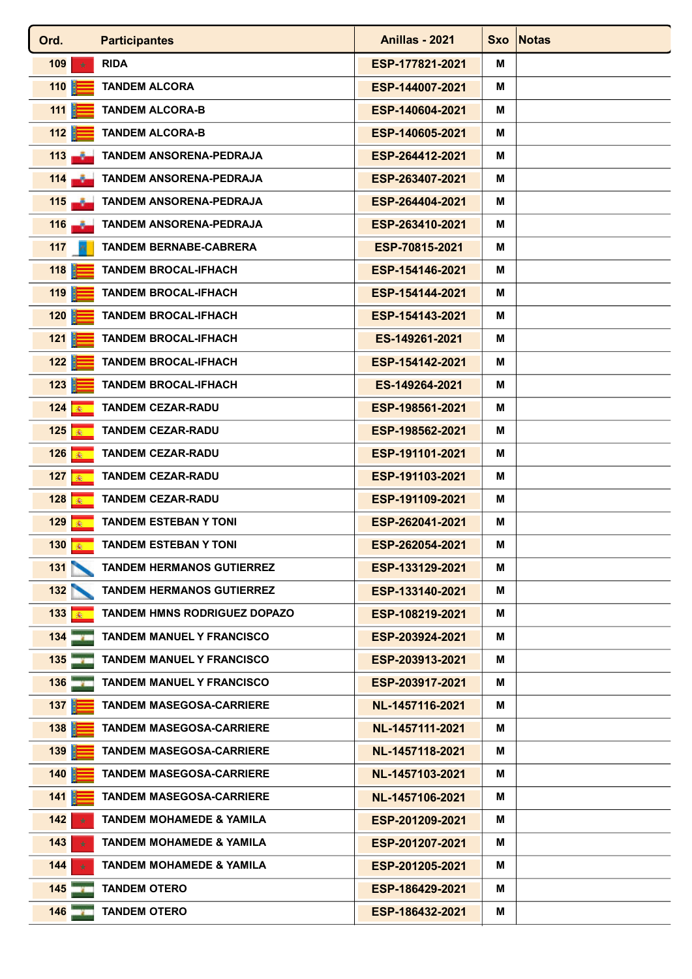| <b>RIDA</b><br>ESP-177821-2021<br>109<br>м<br>女<br>110<br><b>TANDEM ALCORA</b><br>ESP-144007-2021<br>м<br>111<br><b>TANDEM ALCORA-B</b><br>ESP-140604-2021<br>м<br>112<br><b>TANDEM ALCORA-B</b><br>ESP-140605-2021<br>м<br>$113 - 7$<br><b>TANDEM ANSORENA-PEDRAJA</b><br>ESP-264412-2021<br>м<br>$114 -$<br><b>TANDEM ANSORENA-PEDRAJA</b><br>ESP-263407-2021<br>м<br>$115 - 1$<br><b>TANDEM ANSORENA-PEDRAJA</b><br>ESP-264404-2021<br>м<br><b>TANDEM ANSORENA-PEDRAJA</b><br>ESP-263410-2021<br>116<br>м<br>۰.<br>117<br><b>TANDEM BERNABE-CABRERA</b><br>ESP-70815-2021<br>м<br>118<br><b>TANDEM BROCAL-IFHACH</b><br>ESP-154146-2021<br>м<br>119<br><b>TANDEM BROCAL-IFHACH</b><br>ESP-154144-2021<br>м<br>120<br><b>TANDEM BROCAL-IFHACH</b><br>ESP-154143-2021<br>м<br>121<br><b>TANDEM BROCAL-IFHACH</b><br>ES-149261-2021<br>м<br>122<br><b>TANDEM BROCAL-IFHACH</b><br>ESP-154142-2021<br>м<br>123<br><b>TANDEM BROCAL-IFHACH</b><br>ES-149264-2021<br>м<br>124<br><b>TANDEM CEZAR-RADU</b><br>ESP-198561-2021<br>м<br>6<br>125 秦<br><b>TANDEM CEZAR-RADU</b><br>ESP-198562-2021<br>м<br>126 秦<br><b>TANDEM CEZAR-RADU</b><br>ESP-191101-2021<br>м<br>127<br><b>TANDEM CEZAR-RADU</b><br>ESP-191103-2021<br>м<br>128   ●<br><b>TANDEM CEZAR-RADU</b><br>ESP-191109-2021<br>м |  |
|-----------------------------------------------------------------------------------------------------------------------------------------------------------------------------------------------------------------------------------------------------------------------------------------------------------------------------------------------------------------------------------------------------------------------------------------------------------------------------------------------------------------------------------------------------------------------------------------------------------------------------------------------------------------------------------------------------------------------------------------------------------------------------------------------------------------------------------------------------------------------------------------------------------------------------------------------------------------------------------------------------------------------------------------------------------------------------------------------------------------------------------------------------------------------------------------------------------------------------------------------------------------------------------------|--|
|                                                                                                                                                                                                                                                                                                                                                                                                                                                                                                                                                                                                                                                                                                                                                                                                                                                                                                                                                                                                                                                                                                                                                                                                                                                                                         |  |
|                                                                                                                                                                                                                                                                                                                                                                                                                                                                                                                                                                                                                                                                                                                                                                                                                                                                                                                                                                                                                                                                                                                                                                                                                                                                                         |  |
|                                                                                                                                                                                                                                                                                                                                                                                                                                                                                                                                                                                                                                                                                                                                                                                                                                                                                                                                                                                                                                                                                                                                                                                                                                                                                         |  |
|                                                                                                                                                                                                                                                                                                                                                                                                                                                                                                                                                                                                                                                                                                                                                                                                                                                                                                                                                                                                                                                                                                                                                                                                                                                                                         |  |
|                                                                                                                                                                                                                                                                                                                                                                                                                                                                                                                                                                                                                                                                                                                                                                                                                                                                                                                                                                                                                                                                                                                                                                                                                                                                                         |  |
|                                                                                                                                                                                                                                                                                                                                                                                                                                                                                                                                                                                                                                                                                                                                                                                                                                                                                                                                                                                                                                                                                                                                                                                                                                                                                         |  |
|                                                                                                                                                                                                                                                                                                                                                                                                                                                                                                                                                                                                                                                                                                                                                                                                                                                                                                                                                                                                                                                                                                                                                                                                                                                                                         |  |
|                                                                                                                                                                                                                                                                                                                                                                                                                                                                                                                                                                                                                                                                                                                                                                                                                                                                                                                                                                                                                                                                                                                                                                                                                                                                                         |  |
|                                                                                                                                                                                                                                                                                                                                                                                                                                                                                                                                                                                                                                                                                                                                                                                                                                                                                                                                                                                                                                                                                                                                                                                                                                                                                         |  |
|                                                                                                                                                                                                                                                                                                                                                                                                                                                                                                                                                                                                                                                                                                                                                                                                                                                                                                                                                                                                                                                                                                                                                                                                                                                                                         |  |
|                                                                                                                                                                                                                                                                                                                                                                                                                                                                                                                                                                                                                                                                                                                                                                                                                                                                                                                                                                                                                                                                                                                                                                                                                                                                                         |  |
|                                                                                                                                                                                                                                                                                                                                                                                                                                                                                                                                                                                                                                                                                                                                                                                                                                                                                                                                                                                                                                                                                                                                                                                                                                                                                         |  |
|                                                                                                                                                                                                                                                                                                                                                                                                                                                                                                                                                                                                                                                                                                                                                                                                                                                                                                                                                                                                                                                                                                                                                                                                                                                                                         |  |
|                                                                                                                                                                                                                                                                                                                                                                                                                                                                                                                                                                                                                                                                                                                                                                                                                                                                                                                                                                                                                                                                                                                                                                                                                                                                                         |  |
|                                                                                                                                                                                                                                                                                                                                                                                                                                                                                                                                                                                                                                                                                                                                                                                                                                                                                                                                                                                                                                                                                                                                                                                                                                                                                         |  |
|                                                                                                                                                                                                                                                                                                                                                                                                                                                                                                                                                                                                                                                                                                                                                                                                                                                                                                                                                                                                                                                                                                                                                                                                                                                                                         |  |
|                                                                                                                                                                                                                                                                                                                                                                                                                                                                                                                                                                                                                                                                                                                                                                                                                                                                                                                                                                                                                                                                                                                                                                                                                                                                                         |  |
|                                                                                                                                                                                                                                                                                                                                                                                                                                                                                                                                                                                                                                                                                                                                                                                                                                                                                                                                                                                                                                                                                                                                                                                                                                                                                         |  |
|                                                                                                                                                                                                                                                                                                                                                                                                                                                                                                                                                                                                                                                                                                                                                                                                                                                                                                                                                                                                                                                                                                                                                                                                                                                                                         |  |
|                                                                                                                                                                                                                                                                                                                                                                                                                                                                                                                                                                                                                                                                                                                                                                                                                                                                                                                                                                                                                                                                                                                                                                                                                                                                                         |  |
| 129 秦<br><b>TANDEM ESTEBAN Y TONI</b><br>ESP-262041-2021<br>м                                                                                                                                                                                                                                                                                                                                                                                                                                                                                                                                                                                                                                                                                                                                                                                                                                                                                                                                                                                                                                                                                                                                                                                                                           |  |
| 130 藤<br><b>TANDEM ESTEBAN Y TONI</b><br>ESP-262054-2021<br>Μ                                                                                                                                                                                                                                                                                                                                                                                                                                                                                                                                                                                                                                                                                                                                                                                                                                                                                                                                                                                                                                                                                                                                                                                                                           |  |
| 131<br><b>TANDEM HERMANOS GUTIERREZ</b><br>ESP-133129-2021<br>м                                                                                                                                                                                                                                                                                                                                                                                                                                                                                                                                                                                                                                                                                                                                                                                                                                                                                                                                                                                                                                                                                                                                                                                                                         |  |
| 132<br><b>TANDEM HERMANOS GUTIERREZ</b><br>ESP-133140-2021<br>м                                                                                                                                                                                                                                                                                                                                                                                                                                                                                                                                                                                                                                                                                                                                                                                                                                                                                                                                                                                                                                                                                                                                                                                                                         |  |
| 133<br><b>TANDEM HMNS RODRIGUEZ DOPAZO</b><br>ESP-108219-2021<br>м                                                                                                                                                                                                                                                                                                                                                                                                                                                                                                                                                                                                                                                                                                                                                                                                                                                                                                                                                                                                                                                                                                                                                                                                                      |  |
| <b>TANDEM MANUEL Y FRANCISCO</b><br>ESP-203924-2021<br>134<br>м                                                                                                                                                                                                                                                                                                                                                                                                                                                                                                                                                                                                                                                                                                                                                                                                                                                                                                                                                                                                                                                                                                                                                                                                                         |  |
| 135<br><b>TANDEM MANUEL Y FRANCISCO</b><br>ESP-203913-2021<br>м                                                                                                                                                                                                                                                                                                                                                                                                                                                                                                                                                                                                                                                                                                                                                                                                                                                                                                                                                                                                                                                                                                                                                                                                                         |  |
| 136<br><b>TANDEM MANUEL Y FRANCISCO</b><br>ESP-203917-2021<br>м                                                                                                                                                                                                                                                                                                                                                                                                                                                                                                                                                                                                                                                                                                                                                                                                                                                                                                                                                                                                                                                                                                                                                                                                                         |  |
| 137<br><b>TANDEM MASEGOSA-CARRIERE</b><br>NL-1457116-2021<br>м                                                                                                                                                                                                                                                                                                                                                                                                                                                                                                                                                                                                                                                                                                                                                                                                                                                                                                                                                                                                                                                                                                                                                                                                                          |  |
| 138<br><b>TANDEM MASEGOSA-CARRIERE</b><br>NL-1457111-2021<br>м                                                                                                                                                                                                                                                                                                                                                                                                                                                                                                                                                                                                                                                                                                                                                                                                                                                                                                                                                                                                                                                                                                                                                                                                                          |  |
| 139<br><b>TANDEM MASEGOSA-CARRIERE</b><br>NL-1457118-2021<br>м                                                                                                                                                                                                                                                                                                                                                                                                                                                                                                                                                                                                                                                                                                                                                                                                                                                                                                                                                                                                                                                                                                                                                                                                                          |  |
| 140<br><b>TANDEM MASEGOSA-CARRIERE</b><br>NL-1457103-2021<br>м                                                                                                                                                                                                                                                                                                                                                                                                                                                                                                                                                                                                                                                                                                                                                                                                                                                                                                                                                                                                                                                                                                                                                                                                                          |  |
| 141<br><b>TANDEM MASEGOSA-CARRIERE</b><br>NL-1457106-2021<br>м                                                                                                                                                                                                                                                                                                                                                                                                                                                                                                                                                                                                                                                                                                                                                                                                                                                                                                                                                                                                                                                                                                                                                                                                                          |  |
| 142<br><b>TANDEM MOHAMEDE &amp; YAMILA</b><br>ESP-201209-2021<br>М                                                                                                                                                                                                                                                                                                                                                                                                                                                                                                                                                                                                                                                                                                                                                                                                                                                                                                                                                                                                                                                                                                                                                                                                                      |  |
| 143<br><b>TANDEM MOHAMEDE &amp; YAMILA</b><br>ESP-201207-2021<br>м                                                                                                                                                                                                                                                                                                                                                                                                                                                                                                                                                                                                                                                                                                                                                                                                                                                                                                                                                                                                                                                                                                                                                                                                                      |  |
| <b>TANDEM MOHAMEDE &amp; YAMILA</b><br>ESP-201205-2021<br>м<br>144                                                                                                                                                                                                                                                                                                                                                                                                                                                                                                                                                                                                                                                                                                                                                                                                                                                                                                                                                                                                                                                                                                                                                                                                                      |  |
| <b>TANDEM OTERO</b><br>145<br>ESP-186429-2021<br>м                                                                                                                                                                                                                                                                                                                                                                                                                                                                                                                                                                                                                                                                                                                                                                                                                                                                                                                                                                                                                                                                                                                                                                                                                                      |  |
| 146<br><b>TANDEM OTERO</b><br>ESP-186432-2021<br>м                                                                                                                                                                                                                                                                                                                                                                                                                                                                                                                                                                                                                                                                                                                                                                                                                                                                                                                                                                                                                                                                                                                                                                                                                                      |  |